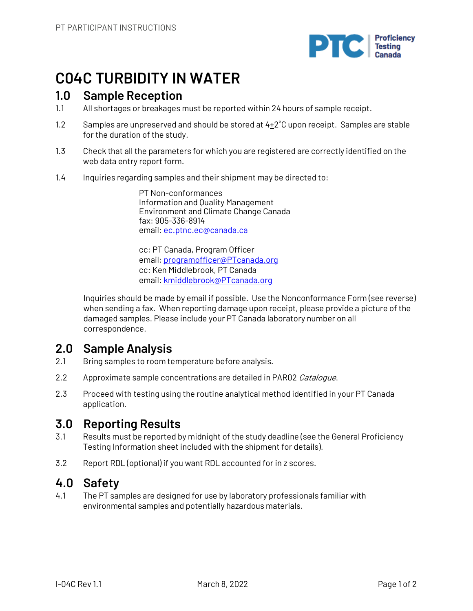

# **C04C TURBIDITY IN WATER**

## **1.0 Sample Reception**

- 1.1 All shortages or breakages must be reported within 24 hours of sample receipt.
- 1.2 Samples are unpreserved and should be stored at  $4+2^{\circ}C$  upon receipt. Samples are stable for the duration of the study.
- 1.3 Check that all the parameters for which you are registered are correctly identified on the web data entry report form.
- 1.4 Inquiries regarding samples and their shipment may be directed to:

PT Non-conformances Information and Quality Management Environment and Climate Change Canada fax: 905-336-8914 email: ec.ptnc.ec@canada.ca

cc: PT Canada, Program Officer email: programofficer@PTcanada.org cc: Ken Middlebrook, PT Canada email: kmiddlebrook@PTcanada.org

Inquiries should be made by email if possible. Use the Nonconformance Form (see reverse) when sending a fax. When reporting damage upon receipt, please provide a picture of the damaged samples. Please include your PT Canada laboratory number on all correspondence.

# **2.0 Sample Analysis**

- 2.1 Bring samples to room temperature before analysis.
- 2.2 Approximate sample concentrations are detailed in PAR02 Catalogue.
- 2.3 Proceed with testing using the routine analytical method identified in your PT Canada application.

# **3.0 Reporting Results**

- 3.1 Results must be reported by midnight of the study deadline (see the General Proficiency Testing Information sheet included with the shipment for details).
- 3.2 Report RDL (optional) if you want RDL accounted for in z scores.

## **4.0 Safety**

4.1 The PT samples are designed for use by laboratory professionals familiar with environmental samples and potentially hazardous materials.